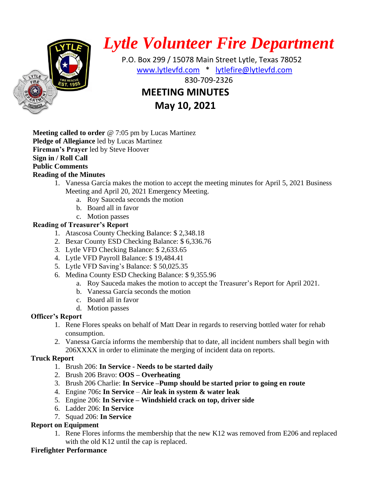

# *Lytle Volunteer Fire Department*

 P.O. Box 299 / 15078 Main Street Lytle, Texas 78052 [www.lytlevfd.com](http://www.lytlevfd.com/) \* [lytlefire@lytlevfd.com](mailto:lytlefire@lytlevfd.com) **EXPLORE RESCUE AND STRE RESCUE AND STREET ASSOCIATED MEETING MINUTES**

## **May 10, 2021**

**Meeting called to order** @ 7:05 pm by Lucas Martinez **Pledge of Allegiance** led by Lucas Martinez **Fireman's Prayer** led by Steve Hoover **Sign in / Roll Call Public Comments Reading of the Minutes**

- 1. Vanessa García makes the motion to accept the meeting minutes for April 5, 2021 Business Meeting and April 20, 2021 Emergency Meeting.
	- a. Roy Sauceda seconds the motion
	- b. Board all in favor
	- c. Motion passes

## **Reading of Treasurer's Report**

- 1. Atascosa County Checking Balance: \$ 2,348.18
- 2. Bexar County ESD Checking Balance: \$ 6,336.76
- 3. Lytle VFD Checking Balance: \$ 2,633.65
- 4. Lytle VFD Payroll Balance: \$ 19,484.41
- 5. Lytle VFD Saving's Balance: \$ 50,025.35
- 6. Medina County ESD Checking Balance: \$ 9,355.96
	- a. Roy Sauceda makes the motion to accept the Treasurer's Report for April 2021.
	- b. Vanessa García seconds the motion
	- c. Board all in favor
	- d. Motion passes

## **Officer's Report**

- 1. Rene Flores speaks on behalf of Matt Dear in regards to reserving bottled water for rehab consumption.
- 2. Vanessa García informs the membership that to date, all incident numbers shall begin with 206XXXX in order to eliminate the merging of incident data on reports.

## **Truck Report**

- 1. Brush 206: **In Service - Needs to be started daily**
- 2. Brush 206 Bravo: **OOS – Overheating**
- 3. Brush 206 Charlie: **In Service –Pump should be started prior to going en route**
- 4. Engine 706**: In Service Air leak in system & water leak**
- 5. Engine 206: **In Service – Windshield crack on top, driver side**
- 6. Ladder 206: **In Service**
- 7. Squad 206: **In Service**

## **Report on Equipment**

1. Rene Flores informs the membership that the new K12 was removed from E206 and replaced with the old K12 until the cap is replaced.

## **Firefighter Performance**